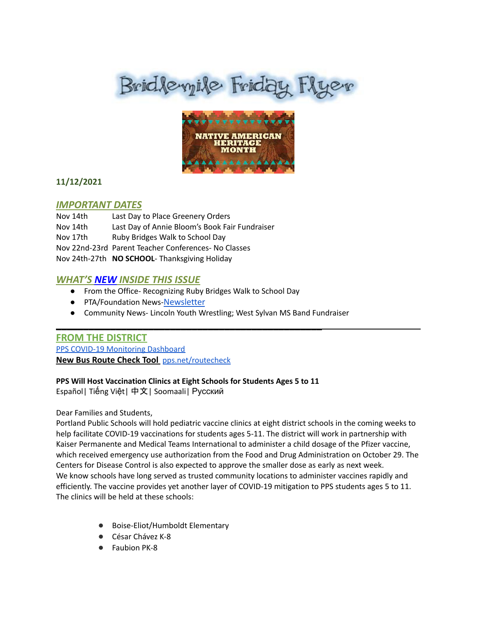# Bridlevyile Friday Flyer



# **11/12/2021**

#### *IMPORTANT DATES*

| Nov 14th | Last Day to Place Greenery Orders                    |
|----------|------------------------------------------------------|
| Nov 14th | Last Day of Annie Bloom's Book Fair Fundraiser       |
| Nov 17th | Ruby Bridges Walk to School Day                      |
|          | Nov 22nd-23rd Parent Teacher Conferences- No Classes |
|          | Nov 24th-27th NO SCHOOL- Thanksgiving Holiday        |

# *WHAT'S NEW INSIDE THIS ISSUE*

● From the Office- Recognizing Ruby Bridges Walk to School Day

\_\_\_\_\_\_\_\_\_\_\_\_\_\_\_\_\_\_\_\_\_\_\_\_\_\_\_\_\_\_\_\_\_\_\_\_\_\_\_\_\_\_\_\_\_\_\_\_\_

- PTA/Foundation News-[Newsletter](https://docs.google.com/document/u/1/d/e/2PACX-1vQlZCPHtKxqO7qpJwiwgoeaZ1ERHVLgg6z0JNYJMTulwn7xlOVY_X2I1ZV9nntsGHP57LEZ_uSufaFj/pub)
- Community News- Lincoln Youth Wrestling; West Sylvan MS Band Fundraiser

# **FROM THE DISTRICT** PPS COVID-19 [Monitoring](https://www.pps.net/COVID19Dashboard) Dashboard

**New Bus Route Check Tool** [pps.net/routecheck](https://www.pps.net/routecheck)

#### **PPS Will Host Vaccination Clinics at Eight Schools for Students Ages 5 to 11**

[Español|](https://www.pps.net/cms/lib/OR01913224/Centricity/ModuleInstance/1492/VaccineClinics_10-28-2021-Spanish.pdf) Tiế[ng](https://www.pps.net/cms/lib/OR01913224/Centricity/ModuleInstance/1492/VaccineClinics_10-28-2021-Vietnamese.pdf) Việt| [中文](https://www.pps.net/cms/lib/OR01913224/Centricity/ModuleInstance/1492/VaccineClinics_10-28-2021-Chinese.pdf)| [Soomaali|](https://www.pps.net/cms/lib/OR01913224/Centricity/ModuleInstance/1492/VaccineClinics_10-28-2021-Somali.pdf) [Русский](https://www.pps.net/cms/lib/OR01913224/Centricity/ModuleInstance/1492/VaccineClinics_10-28-2021-Russian.pdf)

#### Dear Families and Students,

Portland Public Schools will hold pediatric vaccine clinics at eight district schools in the coming weeks to help facilitate COVID-19 vaccinations for students ages 5-11. The district will work in partnership with Kaiser Permanente and Medical Teams International to administer a child dosage of the Pfizer vaccine, which received emergency use authorization from the Food and Drug Administration on October 29. The Centers for Disease Control is also expected to approve the smaller dose as early as next week. We know schools have long served as trusted community locations to administer vaccines rapidly and efficiently. The vaccine provides yet another layer of COVID-19 mitigation to PPS students ages 5 to 11. The clinics will be held at these schools:

- Boise-Eliot/Humboldt Elementary
- César Chávez K-8
- **Faubion PK-8**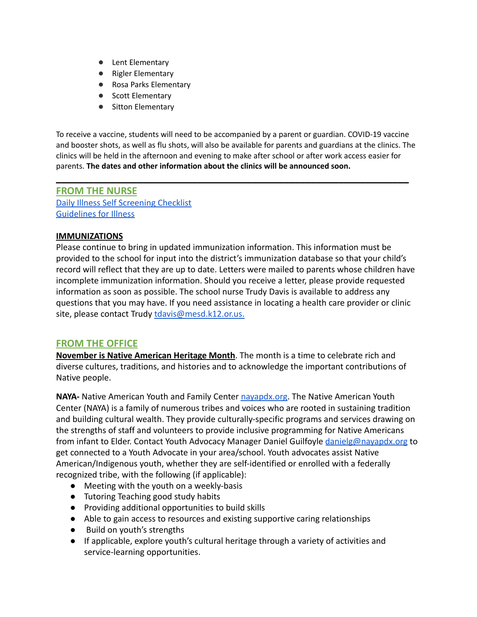- Lent Elementary
- Rigler Elementary
- Rosa Parks Elementary
- Scott Elementary
- Sitton Elementary

To receive a vaccine, students will need to be accompanied by a parent or guardian. COVID-19 vaccine and booster shots, as well as flu shots, will also be available for parents and guardians at the clinics. The clinics will be held in the afternoon and evening to make after school or after work access easier for parents. **The dates and other information about the clinics will be announced soon.**

**\_\_\_\_\_\_\_\_\_\_\_\_\_\_\_\_\_\_\_\_\_\_\_\_\_\_\_\_\_\_\_\_\_\_\_\_\_\_\_\_\_\_\_\_\_\_\_\_\_\_\_\_\_\_\_\_\_\_\_\_\_\_\_\_\_**

**FROM THE NURSE** [Daily Illness Self Screening Checklist](https://docs.google.com/document/d/1BCX4STQyHfQh4JkMdLKu0uKWYnGFCvn4wGVBq88ew8I/edit?usp=sharing) [Guidelines for Illness](https://dochub.com/dburling/8YZWO9NV8gOAj8zKzEAy30/guidelines-for-illness-and-school-pdf?dt=PUWvfPjC-jaRG37TLi8v)

#### **IMMUNIZATIONS**

Please continue to bring in updated immunization information. This information must be provided to the school for input into the district's immunization database so that your child's record will reflect that they are up to date. Letters were mailed to parents whose children have incomplete immunization information. Should you receive a letter, please provide requested information as soon as possible. The school nurse Trudy Davis is available to address any questions that you may have. If you need assistance in locating a health care provider or clinic site, please contact Trudy tdavis@mesd.k12.or.us.

# **FROM THE OFFICE**

**November is Native American Heritage Month**. The month is a time to celebrate rich and diverse cultures, traditions, and histories and to acknowledge the important contributions of Native people.

**NAYA-** Native American Youth and Family Center [nayapdx.org](http://nayapdx.org). The Native American Youth Center (NAYA) is a family of numerous tribes and voices who are rooted in sustaining tradition and building cultural wealth. They provide culturally-specific programs and services drawing on the strengths of staff and volunteers to provide inclusive programming for Native Americans from infant to Elder. Contact Youth Advocacy Manager Daniel Guilfoyle [danielg@nayapdx.org](mailto:danielg@nayapdx.org) to get connected to a Youth Advocate in your area/school. Youth advocates assist Native American/Indigenous youth, whether they are self-identified or enrolled with a federally recognized tribe, with the following (if applicable):

- Meeting with the youth on a weekly-basis
- Tutoring Teaching good study habits
- Providing additional opportunities to build skills
- Able to gain access to resources and existing supportive caring relationships
- Build on youth's strengths
- If applicable, explore youth's cultural heritage through a variety of activities and service-learning opportunities.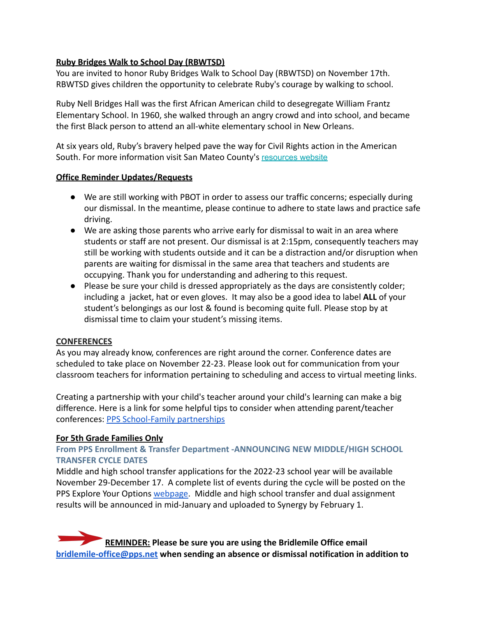# **Ruby Bridges Walk to School Day (RBWTSD)**

You are invited to honor Ruby Bridges Walk to School Day (RBWTSD) on November 17th. RBWTSD gives children the opportunity to celebrate Ruby's courage by walking to school.

Ruby Nell Bridges Hall was the first African American child to desegregate William Frantz Elementary School. In 1960, she walked through an angry crowd and into school, and became the first Black person to attend an all-white elementary school in New Orleans.

At six years old, Ruby's bravery helped pave the way for Civil Rights action in the American South. For more information visit San Mateo County's [resources website](https://lnks.gd/l/eyJhbGciOiJIUzI1NiJ9.eyJidWxsZXRpbl9saW5rX2lkIjoxMDEsInVyaSI6ImJwMjpjbGljayIsImJ1bGxldGluX2lkIjoiMjAyMTExMDkuNDg2MTkwMDEiLCJ1cmwiOiJodHRwczovL3NpdGVzLmdvb2dsZS5jb20vc21jb2Uub3JnL3Jid3RzZC9yZXNvdXJjZXM_dXRtX21lZGl1bT1lbWFpbCZ1dG1fc291cmNlPWdvdmRlbGl2ZXJ5In0.zXEWAEW5FzFlnp1u-yDUX9hFpuhl8T0csmHIG3bpE_g/s/1373160224/br/119574805451-l)

# **Office Reminder Updates/Requests**

- We are still working with PBOT in order to assess our traffic concerns; especially during our dismissal. In the meantime, please continue to adhere to state laws and practice safe driving.
- We are asking those parents who arrive early for dismissal to wait in an area where students or staff are not present. Our dismissal is at 2:15pm, consequently teachers may still be working with students outside and it can be a distraction and/or disruption when parents are waiting for dismissal in the same area that teachers and students are occupying. Thank you for understanding and adhering to this request.
- Please be sure your child is dressed appropriately as the days are consistently colder; including a jacket, hat or even gloves. It may also be a good idea to label **ALL** of your student's belongings as our lost & found is becoming quite full. Please stop by at dismissal time to claim your student's missing items.

# **CONFERENCES**

As you may already know, conferences are right around the corner. Conference dates are scheduled to take place on November 22-23. Please look out for communication from your classroom teachers for information pertaining to scheduling and access to virtual meeting links.

Creating a partnership with your child's teacher around your child's learning can make a big difference. Here is a link for some helpful tips to consider when attending parent/teacher conferences: [PPS School-Family partnerships](https://www.pps.net/Page/961)

# **For 5th Grade Families Only**

# **From PPS Enrollment & Transfer Department -ANNOUNCING NEW MIDDLE/HIGH SCHOOL TRANSFER CYCLE DATES**

Middle and high school transfer applications for the 2022-23 school year will be available November 29-December 17. A complete list of events during the cycle will be posted on the PPS Explore Your Options [webpage.](https://www.pps.net/Page/1024) Middle and high school transfer and dual assignment results will be announced in mid-January and uploaded to Synergy by February 1.

**REMINDER:** Please be sure you are using the Bridlemile Office email **[bridlemile-office@pps.net](mailto:bridlemile-office@pps.net) when sending an absence or dismissal notification in addition to**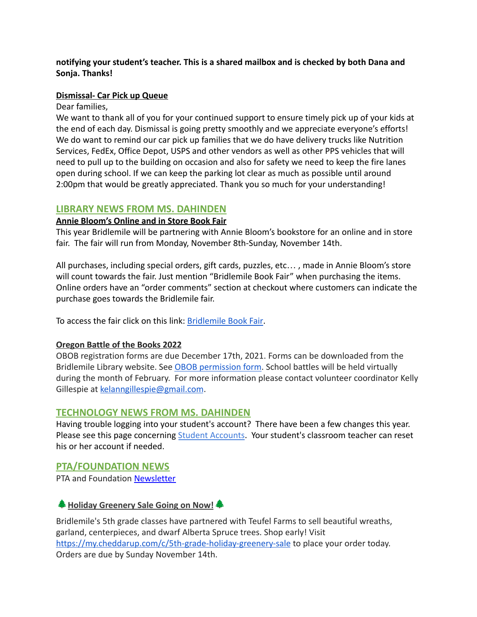#### **notifying your student's teacher. This is a shared mailbox and is checked by both Dana and Sonja. Thanks!**

#### **Dismissal- Car Pick up Queue**

Dear families,

We want to thank all of you for your continued support to ensure timely pick up of your kids at the end of each day. Dismissal is going pretty smoothly and we appreciate everyone's efforts! We do want to remind our car pick up families that we do have delivery trucks like Nutrition Services, FedEx, Office Depot, USPS and other vendors as well as other PPS vehicles that will need to pull up to the building on occasion and also for safety we need to keep the fire lanes open during school. If we can keep the parking lot clear as much as possible until around 2:00pm that would be greatly appreciated. Thank you so much for your understanding!

# **LIBRARY NEWS FROM MS. DAHINDEN**

#### **Annie Bloom's Online and in Store Book Fair**

This year Bridlemile will be partnering with Annie Bloom's bookstore for an online and in store fair. The fair will run from Monday, November 8th-Sunday, November 14th.

All purchases, including special orders, gift cards, puzzles, etc… , made in Annie Bloom's store will count towards the fair. Just mention "Bridlemile Book Fair" when purchasing the items. Online orders have an "order comments" section at checkout where customers can indicate the purchase goes towards the Bridlemile fair.

To access the fair click on this link: [Bridlemile](https://www.annieblooms.com/bridlemile-book-fair) Book Fair.

# **Oregon Battle of the Books 2022**

OBOB registration forms are due December 17th, 2021. Forms can be downloaded from the Bridlemile Library website. See [OBOB permission form.](https://sites.google.com/pps.net/bridlemile/obob) School battles will be held virtually during the month of February. For more information please contact volunteer coordinator Kelly Gillespie at kelanngillespie@gmail.com.

# **TECHNOLOGY NEWS FROM MS. DAHINDEN**

Having trouble logging into your student's account? There have been a few changes this year. Please see this page concerning [Student Accounts](https://www.pps.net/Page/1910). Your student's classroom teacher can reset his or her account if needed.

# **PTA/FOUNDATION NEWS**

PTA and Foundation [Newsletter](https://docs.google.com/document/u/1/d/e/2PACX-1vQlZCPHtKxqO7qpJwiwgoeaZ1ERHVLgg6z0JNYJMTulwn7xlOVY_X2I1ZV9nntsGHP57LEZ_uSufaFj/pub)

# **Holiday Greenery Sale Going on Now!**

Bridlemile's 5th grade classes have partnered with Teufel Farms to sell beautiful wreaths, garland, centerpieces, and dwarf Alberta Spruce trees. Shop early! Visit <https://my.cheddarup.com/c/5th-grade-holiday-greenery-sale> to place your order today. Orders are due by Sunday November 14th.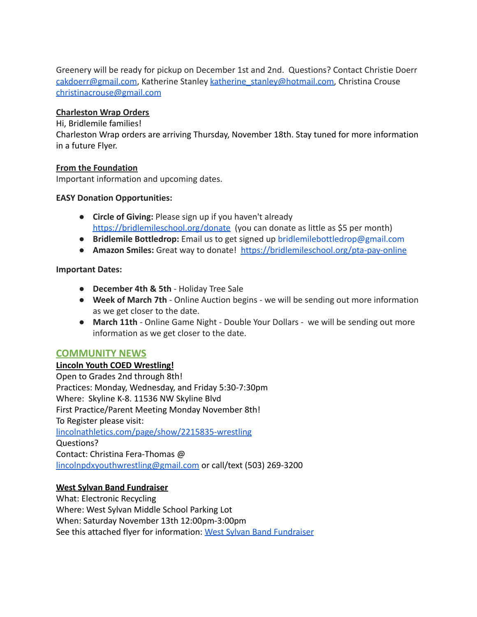Greenery will be ready for pickup on December 1st and 2nd. Questions? Contact Christie Doerr cakdoerr@gmail.com, Katherine Stanley katherine\_stanley@hotmail.com, Christina Crouse [christinacrouse@gmail.com](mailto:christinacrouse@gmail.com)

#### **Charleston Wrap Orders**

#### Hi, Bridlemile families!

Charleston Wrap orders are arriving Thursday, November 18th. Stay tuned for more information in a future Flyer.

#### **From the Foundation**

Important information and upcoming dates.

#### **EASY Donation Opportunities:**

- **Circle of Giving:** Please sign up if you haven't already [https://bridlemileschool.org/donate](http://track.spe.schoolmessenger.com/f/a/9V6FAuHVBMhdeXTty_C03Q~~/AAAAAQA~/RgRjVC-zP0QjaHR0cHM6Ly9icmlkbGVtaWxlc2Nob29sLm9yZy9kb25hdGVXB3NjaG9vbG1CCmFxM_xyYWkfEapSEGRidXJsaW5nQHBwcy5uZXRYBAAAAAE~) (you can donate as little as \$5 per month)
- **Bridlemile Bottledrop:** Email us to get signed up bridlemilebottledrop@gmail.com
- **Amazon Smiles:** Great way to donate! [https://bridlemileschool.org/pta-pay-online](http://track.spe.schoolmessenger.com/f/a/ImEuCv7TUK3FtnrwPW_UNg~~/AAAAAQA~/RgRjVC-zP0QraHR0cHM6Ly9icmlkbGVtaWxlc2Nob29sLm9yZy9wdGEtcGF5LW9ubGluZVcHc2Nob29sbUIKYXEz_HJhaR8RqlIQZGJ1cmxpbmdAcHBzLm5ldFgEAAAAAQ~~)

#### **Important Dates:**

- **December 4th & 5th** Holiday Tree Sale
- **Week of March 7th** Online Auction begins we will be sending out more information as we get closer to the date.
- **March 11th** Online Game Night Double Your Dollars we will be sending out more information as we get closer to the date.

# **COMMUNITY NEWS**

# **Lincoln Youth COED Wrestling!**

Open to Grades 2nd through 8th! Practices: Monday, Wednesday, and Friday 5:30-7:30pm Where: Skyline K-8. 11536 NW Skyline Blvd First Practice/Parent Meeting Monday November 8th! To Register please visit: [lincolnathletics.com/page/show/2215835-wrestling](http://lincolnathletics.com/page/show/2215835-wrestling) Questions? Contact: Christina Fera-Thomas @ [lincolnpdxyouthwrestling@gmail.com](mailto:lincolnpdxyouthwrestling@gmail.com) or call/text (503) 269-3200

# **West Sylvan Band Fundraiser**

What: Electronic Recycling Where: West Sylvan Middle School Parking Lot When: Saturday November 13th 12:00pm-3:00pm See this attached flyer for information: West Sylvan [Band Fundraiser](https://drive.google.com/file/d/1ldrPy9CHNM4VueSqBFWyUtIcfK7J7xie/view?usp=sharing)